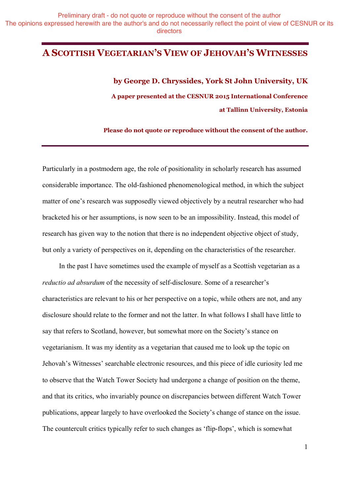## **A SCOTTISH VEGETARIAN'S VIEW OF JEHOVAH'S WITNESSES**

**by George D. Chryssides, York St John University, UK A paper presented at the CESNUR 2015 International Conference at Tallinn University, Estonia** 

**Please do not quote or reproduce without the consent of the author.**

Particularly in a postmodern age, the role of positionality in scholarly research has assumed considerable importance. The old-fashioned phenomenological method, in which the subject matter of one's research was supposedly viewed objectively by a neutral researcher who had bracketed his or her assumptions, is now seen to be an impossibility. Instead, this model of research has given way to the notion that there is no independent objective object of study, but only a variety of perspectives on it, depending on the characteristics of the researcher.

In the past I have sometimes used the example of myself as a Scottish vegetarian as a *reductio ad absurdum* of the necessity of self-disclosure. Some of a researcher's characteristics are relevant to his or her perspective on a topic, while others are not, and any disclosure should relate to the former and not the latter. In what follows I shall have little to say that refers to Scotland, however, but somewhat more on the Society's stance on vegetarianism. It was my identity as a vegetarian that caused me to look up the topic on Jehovah's Witnesses' searchable electronic resources, and this piece of idle curiosity led me to observe that the Watch Tower Society had undergone a change of position on the theme, and that its critics, who invariably pounce on discrepancies between different Watch Tower publications, appear largely to have overlooked the Society's change of stance on the issue. The countercult critics typically refer to such changes as 'flip-flops', which is somewhat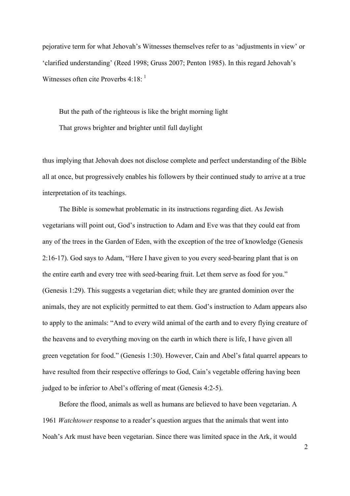pejorative term for what Jehovah's Witnesses themselves refer to as 'adjustments in view' or 'clarified understanding' (Reed 1998; Gruss 2007; Penton 1985). In this regard Jehovah's Witnesses often cite Proverbs  $4:18:$  $4:18:$  $4:18:$ <sup>1</sup>

But the path of the righteous is like the bright morning light That grows brighter and brighter until full daylight

thus implying that Jehovah does not disclose complete and perfect understanding of the Bible all at once, but progressively enables his followers by their continued study to arrive at a true interpretation of its teachings.

The Bible is somewhat problematic in its instructions regarding diet. As Jewish vegetarians will point out, God's instruction to Adam and Eve was that they could eat from any of the trees in the Garden of Eden, with the exception of the tree of knowledge (Genesis 2:16-17). God says to Adam, "Here I have given to you every seed-bearing plant that is on the entire earth and every tree with seed-bearing fruit. Let them serve as food for you." (Genesis 1:29). This suggests a vegetarian diet; while they are granted dominion over the animals, they are not explicitly permitted to eat them. God's instruction to Adam appears also to apply to the animals: "And to every wild animal of the earth and to every flying creature of the heavens and to everything moving on the earth in which there is life, I have given all green vegetation for food." (Genesis 1:30). However, Cain and Abel's fatal quarrel appears to have resulted from their respective offerings to God, Cain's vegetable offering having been judged to be inferior to Abel's offering of meat (Genesis 4:2-5).

Before the flood, animals as well as humans are believed to have been vegetarian. A 1961 *Watchtower* response to a reader's question argues that the animals that went into Noah's Ark must have been vegetarian. Since there was limited space in the Ark, it would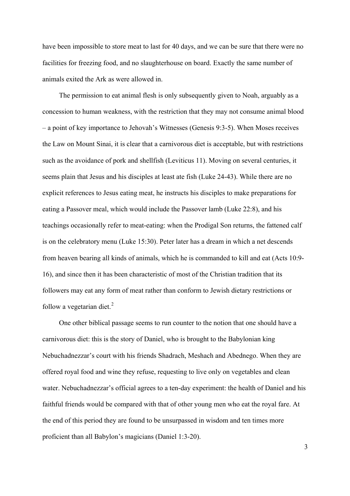have been impossible to store meat to last for 40 days, and we can be sure that there were no facilities for freezing food, and no slaughterhouse on board. Exactly the same number of animals exited the Ark as were allowed in.

The permission to eat animal flesh is only subsequently given to Noah, arguably as a concession to human weakness, with the restriction that they may not consume animal blood – a point of key importance to Jehovah's Witnesses (Genesis 9:3-5). When Moses receives the Law on Mount Sinai, it is clear that a carnivorous diet is acceptable, but with restrictions such as the avoidance of pork and shellfish (Leviticus 11). Moving on several centuries, it seems plain that Jesus and his disciples at least ate fish (Luke 24-43). While there are no explicit references to Jesus eating meat, he instructs his disciples to make preparations for eating a Passover meal, which would include the Passover lamb (Luke 22:8), and his teachings occasionally refer to meat-eating: when the Prodigal Son returns, the fattened calf is on the celebratory menu (Luke 15:30). Peter later has a dream in which a net descends from heaven bearing all kinds of animals, which he is commanded to kill and eat (Acts 10:9- 16), and since then it has been characteristic of most of the Christian tradition that its followers may eat any form of meat rather than conform to Jewish dietary restrictions or follow a vegetarian diet. $^{2}$  $^{2}$  $^{2}$ 

One other biblical passage seems to run counter to the notion that one should have a carnivorous diet: this is the story of Daniel, who is brought to the Babylonian king Nebuchadnezzar's court with his friends Shadrach, Meshach and Abednego. When they are offered royal food and wine they refuse, requesting to live only on vegetables and clean water. Nebuchadnezzar's official agrees to a ten-day experiment: the health of Daniel and his faithful friends would be compared with that of other young men who eat the royal fare. At the end of this period they are found to be unsurpassed in wisdom and ten times more proficient than all Babylon's magicians (Daniel 1:3-20).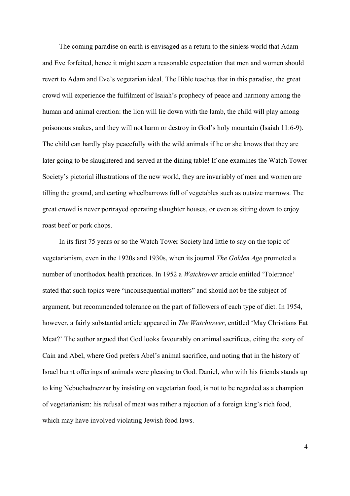The coming paradise on earth is envisaged as a return to the sinless world that Adam and Eve forfeited, hence it might seem a reasonable expectation that men and women should revert to Adam and Eve's vegetarian ideal. The Bible teaches that in this paradise, the great crowd will experience the fulfilment of Isaiah's prophecy of peace and harmony among the human and animal creation: the lion will lie down with the lamb, the child will play among poisonous snakes, and they will not harm or destroy in God's holy mountain (Isaiah 11:6-9). The child can hardly play peacefully with the wild animals if he or she knows that they are later going to be slaughtered and served at the dining table! If one examines the Watch Tower Society's pictorial illustrations of the new world, they are invariably of men and women are tilling the ground, and carting wheelbarrows full of vegetables such as outsize marrows. The great crowd is never portrayed operating slaughter houses, or even as sitting down to enjoy roast beef or pork chops.

In its first 75 years or so the Watch Tower Society had little to say on the topic of vegetarianism, even in the 1920s and 1930s, when its journal *The Golden Age* promoted a number of unorthodox health practices. In 1952 a *Watchtower* article entitled 'Tolerance' stated that such topics were "inconsequential matters" and should not be the subject of argument, but recommended tolerance on the part of followers of each type of diet. In 1954, however, a fairly substantial article appeared in *The Watchtower*, entitled 'May Christians Eat Meat?' The author argued that God looks favourably on animal sacrifices, citing the story of Cain and Abel, where God prefers Abel's animal sacrifice, and noting that in the history of Israel burnt offerings of animals were pleasing to God. Daniel, who with his friends stands up to king Nebuchadnezzar by insisting on vegetarian food, is not to be regarded as a champion of vegetarianism: his refusal of meat was rather a rejection of a foreign king's rich food, which may have involved violating Jewish food laws.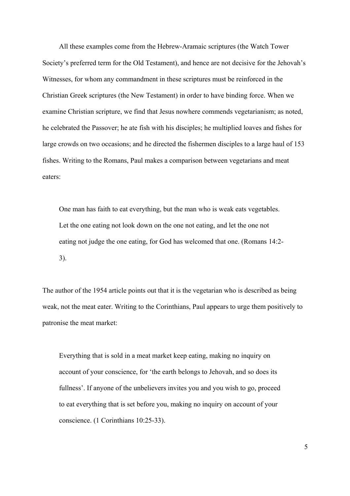All these examples come from the Hebrew-Aramaic scriptures (the Watch Tower Society's preferred term for the Old Testament), and hence are not decisive for the Jehovah's Witnesses, for whom any commandment in these scriptures must be reinforced in the Christian Greek scriptures (the New Testament) in order to have binding force. When we examine Christian scripture, we find that Jesus nowhere commends vegetarianism; as noted, he celebrated the Passover; he ate fish with his disciples; he multiplied loaves and fishes for large crowds on two occasions; and he directed the fishermen disciples to a large haul of 153 fishes. Writing to the Romans, Paul makes a comparison between vegetarians and meat eaters:

One man has faith to eat everything, but the man who is weak eats vegetables. Let the one eating not look down on the one not eating, and let the one not eating not judge the one eating, for God has welcomed that one. (Romans 14:2- 3).

The author of the 1954 article points out that it is the vegetarian who is described as being weak, not the meat eater. Writing to the Corinthians, Paul appears to urge them positively to patronise the meat market:

Everything that is sold in a meat market keep eating, making no inquiry on account of your conscience, for 'the earth belongs to Jehovah, and so does its fullness'. If anyone of the unbelievers invites you and you wish to go, proceed to eat everything that is set before you, making no inquiry on account of your conscience. (1 Corinthians 10:25-33).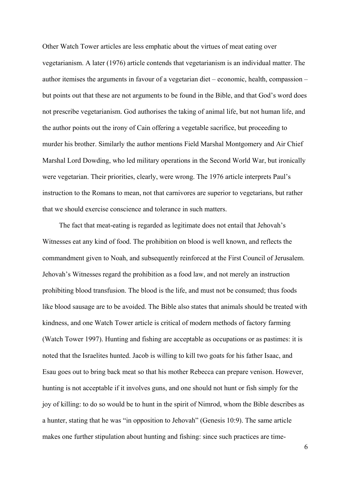Other Watch Tower articles are less emphatic about the virtues of meat eating over vegetarianism. A later (1976) article contends that vegetarianism is an individual matter. The author itemises the arguments in favour of a vegetarian diet – economic, health, compassion – but points out that these are not arguments to be found in the Bible, and that God's word does not prescribe vegetarianism. God authorises the taking of animal life, but not human life, and the author points out the irony of Cain offering a vegetable sacrifice, but proceeding to murder his brother. Similarly the author mentions Field Marshal Montgomery and Air Chief Marshal Lord Dowding, who led military operations in the Second World War, but ironically were vegetarian. Their priorities, clearly, were wrong. The 1976 article interprets Paul's instruction to the Romans to mean, not that carnivores are superior to vegetarians, but rather that we should exercise conscience and tolerance in such matters.

The fact that meat-eating is regarded as legitimate does not entail that Jehovah's Witnesses eat any kind of food. The prohibition on blood is well known, and reflects the commandment given to Noah, and subsequently reinforced at the First Council of Jerusalem. Jehovah's Witnesses regard the prohibition as a food law, and not merely an instruction prohibiting blood transfusion. The blood is the life, and must not be consumed; thus foods like blood sausage are to be avoided. The Bible also states that animals should be treated with kindness, and one Watch Tower article is critical of modern methods of factory farming (Watch Tower 1997). Hunting and fishing are acceptable as occupations or as pastimes: it is noted that the Israelites hunted. Jacob is willing to kill two goats for his father Isaac, and Esau goes out to bring back meat so that his mother Rebecca can prepare venison. However, hunting is not acceptable if it involves guns, and one should not hunt or fish simply for the joy of killing: to do so would be to hunt in the spirit of Nimrod, whom the Bible describes as a hunter, stating that he was "in opposition to Jehovah" (Genesis 10:9). The same article makes one further stipulation about hunting and fishing: since such practices are time-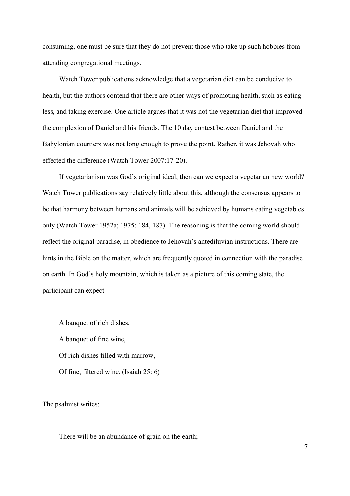consuming, one must be sure that they do not prevent those who take up such hobbies from attending congregational meetings.

Watch Tower publications acknowledge that a vegetarian diet can be conducive to health, but the authors contend that there are other ways of promoting health, such as eating less, and taking exercise. One article argues that it was not the vegetarian diet that improved the complexion of Daniel and his friends. The 10 day contest between Daniel and the Babylonian courtiers was not long enough to prove the point. Rather, it was Jehovah who effected the difference (Watch Tower 2007:17-20).

If vegetarianism was God's original ideal, then can we expect a vegetarian new world? Watch Tower publications say relatively little about this, although the consensus appears to be that harmony between humans and animals will be achieved by humans eating vegetables only (Watch Tower 1952a; 1975: 184, 187). The reasoning is that the coming world should reflect the original paradise, in obedience to Jehovah's antediluvian instructions. There are hints in the Bible on the matter, which are frequently quoted in connection with the paradise on earth. In God's holy mountain, which is taken as a picture of this coming state, the participant can expect

A banquet of rich dishes, A banquet of fine wine, Of rich dishes filled with marrow, Of fine, filtered wine. (Isaiah 25: 6)

The psalmist writes:

There will be an abundance of grain on the earth;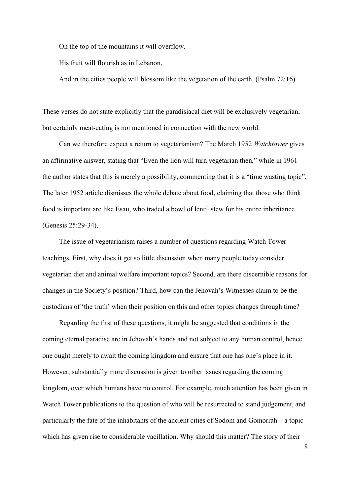On the top of the mountains it will overflow.

His fruit will flourish as in Lebanon,

And in the cities people will blossom like the vegetation of the earth. (Psalm 72:16)

These verses do not state explicitly that the paradisiacal diet will be exclusively vegetarian, but certainly meat-eating is not mentioned in connection with the new world.

Can we therefore expect a return to vegetarianism? The March 1952 *Watchtower* gives an affirmative answer, stating that "Even the lion will turn vegetarian then," while in 1961 the author states that this is merely a possibility, commenting that it is a "time wasting topic". The later 1952 article dismisses the whole debate about food, claiming that those who think food is important are like Esau, who traded a bowl of lentil stew for his entire inheritance (Genesis 25:29-34).

The issue of vegetarianism raises a number of questions regarding Watch Tower teachings. First, why does it get so little discussion when many people today consider vegetarian diet and animal welfare important topics? Second, are there discernible reasons for changes in the Society's position? Third, how can the Jehovah's Witnesses claim to be the custodians of 'the truth' when their position on this and other topics changes through time?

Regarding the first of these questions, it might be suggested that conditions in the coming eternal paradise are in Jehovah's hands and not subject to any human control, hence one ought merely to await the coming kingdom and ensure that one has one's place in it. However, substantially more discussion is given to other issues regarding the coming kingdom, over which humans have no control. For example, much attention has been given in Watch Tower publications to the question of who will be resurrected to stand judgement, and particularly the fate of the inhabitants of the ancient cities of Sodom and Gomorrah – a topic which has given rise to considerable vacillation. Why should this matter? The story of their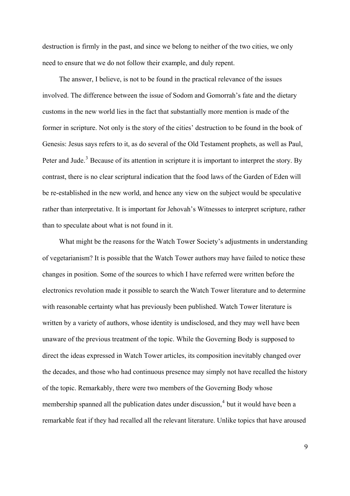destruction is firmly in the past, and since we belong to neither of the two cities, we only need to ensure that we do not follow their example, and duly repent.

The answer, I believe, is not to be found in the practical relevance of the issues involved. The difference between the issue of Sodom and Gomorrah's fate and the dietary customs in the new world lies in the fact that substantially more mention is made of the former in scripture. Not only is the story of the cities' destruction to be found in the book of Genesis: Jesus says refers to it, as do several of the Old Testament prophets, as well as Paul, Peter and Jude.<sup>[3](#page-13-1)</sup> Because of its attention in scripture it is important to interpret the story. By contrast, there is no clear scriptural indication that the food laws of the Garden of Eden will be re-established in the new world, and hence any view on the subject would be speculative rather than interpretative. It is important for Jehovah's Witnesses to interpret scripture, rather than to speculate about what is not found in it.

What might be the reasons for the Watch Tower Society's adjustments in understanding of vegetarianism? It is possible that the Watch Tower authors may have failed to notice these changes in position. Some of the sources to which I have referred were written before the electronics revolution made it possible to search the Watch Tower literature and to determine with reasonable certainty what has previously been published. Watch Tower literature is written by a variety of authors, whose identity is undisclosed, and they may well have been unaware of the previous treatment of the topic. While the Governing Body is supposed to direct the ideas expressed in Watch Tower articles, its composition inevitably changed over the decades, and those who had continuous presence may simply not have recalled the history of the topic. Remarkably, there were two members of the Governing Body whose membership spanned all the publication dates under discussion,<sup>[4](#page-13-1)</sup> but it would have been a remarkable feat if they had recalled all the relevant literature. Unlike topics that have aroused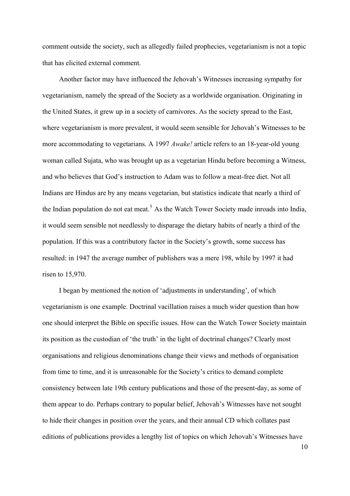comment outside the society, such as allegedly failed prophecies, vegetarianism is not a topic that has elicited external comment.

Another factor may have influenced the Jehovah's Witnesses increasing sympathy for vegetarianism, namely the spread of the Society as a worldwide organisation. Originating in the United States, it grew up in a society of carnivores. As the society spread to the East, where vegetarianism is more prevalent, it would seem sensible for Jehovah's Witnesses to be more accommodating to vegetarians. A 1997 *Awake!* article refers to an 18-year-old young woman called Sujata, who was brought up as a vegetarian Hindu before becoming a Witness, and who believes that God's instruction to Adam was to follow a meat-free diet. Not all Indians are Hindus are by any means vegetarian, but statistics indicate that nearly a third of the Indian population do not eat meat.<sup>[5](#page-13-1)</sup> As the Watch Tower Society made inroads into India, it would seem sensible not needlessly to disparage the dietary habits of nearly a third of the population. If this was a contributory factor in the Society's growth, some success has resulted: in 1947 the average number of publishers was a mere 198, while by 1997 it had risen to 15,970.

I began by mentioned the notion of 'adjustments in understanding', of which vegetarianism is one example. Doctrinal vacillation raises a much wider question than how one should interpret the Bible on specific issues. How can the Watch Tower Society maintain its position as the custodian of 'the truth' in the light of doctrinal changes? Clearly most organisations and religious denominations change their views and methods of organisation from time to time, and it is unreasonable for the Society's critics to demand complete consistency between late 19th century publications and those of the present-day, as some of them appear to do. Perhaps contrary to popular belief, Jehovah's Witnesses have not sought to hide their changes in position over the years, and their annual CD which collates past editions of publications provides a lengthy list of topics on which Jehovah's Witnesses have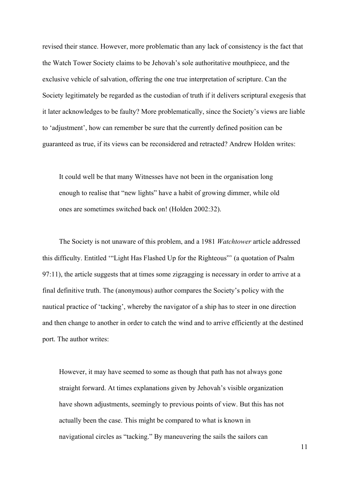revised their stance. However, more problematic than any lack of consistency is the fact that the Watch Tower Society claims to be Jehovah's sole authoritative mouthpiece, and the exclusive vehicle of salvation, offering the one true interpretation of scripture. Can the Society legitimately be regarded as the custodian of truth if it delivers scriptural exegesis that it later acknowledges to be faulty? More problematically, since the Society's views are liable to 'adjustment', how can remember be sure that the currently defined position can be guaranteed as true, if its views can be reconsidered and retracted? Andrew Holden writes:

It could well be that many Witnesses have not been in the organisation long enough to realise that "new lights" have a habit of growing dimmer, while old ones are sometimes switched back on! (Holden 2002:32).

The Society is not unaware of this problem, and a 1981 *Watchtower* article addressed this difficulty. Entitled '"Light Has Flashed Up for the Righteous"' (a quotation of Psalm 97:11), the article suggests that at times some zigzagging is necessary in order to arrive at a final definitive truth. The (anonymous) author compares the Society's policy with the nautical practice of 'tacking', whereby the navigator of a ship has to steer in one direction and then change to another in order to catch the wind and to arrive efficiently at the destined port. The author writes:

However, it may have seemed to some as though that path has not always gone straight forward. At times explanations given by Jehovah's visible organization have shown adjustments, seemingly to previous points of view. But this has not actually been the case. This might be compared to what is known in navigational circles as "tacking." By maneuvering the sails the sailors can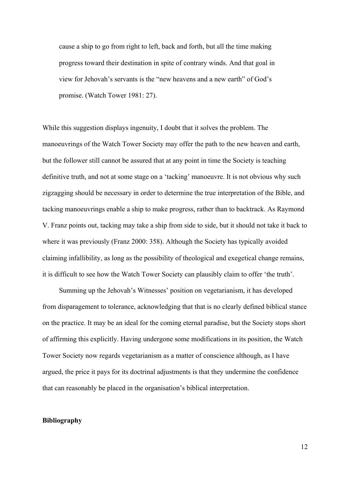cause a ship to go from right to left, back and forth, but all the time making progress toward their destination in spite of contrary winds. And that goal in view for Jehovah's servants is the "new heavens and a new earth" of God's promise. (Watch Tower 1981: 27).

While this suggestion displays ingenuity, I doubt that it solves the problem. The manoeuvrings of the Watch Tower Society may offer the path to the new heaven and earth, but the follower still cannot be assured that at any point in time the Society is teaching definitive truth, and not at some stage on a 'tacking' manoeuvre. It is not obvious why such zigzagging should be necessary in order to determine the true interpretation of the Bible, and tacking manoeuvrings enable a ship to make progress, rather than to backtrack. As Raymond V. Franz points out, tacking may take a ship from side to side, but it should not take it back to where it was previously (Franz 2000: 358). Although the Society has typically avoided claiming infallibility, as long as the possibility of theological and exegetical change remains, it is difficult to see how the Watch Tower Society can plausibly claim to offer 'the truth'.

Summing up the Jehovah's Witnesses' position on vegetarianism, it has developed from disparagement to tolerance, acknowledging that that is no clearly defined biblical stance on the practice. It may be an ideal for the coming eternal paradise, but the Society stops short of affirming this explicitly. Having undergone some modifications in its position, the Watch Tower Society now regards vegetarianism as a matter of conscience although, as I have argued, the price it pays for its doctrinal adjustments is that they undermine the confidence that can reasonably be placed in the organisation's biblical interpretation.

## **Bibliography**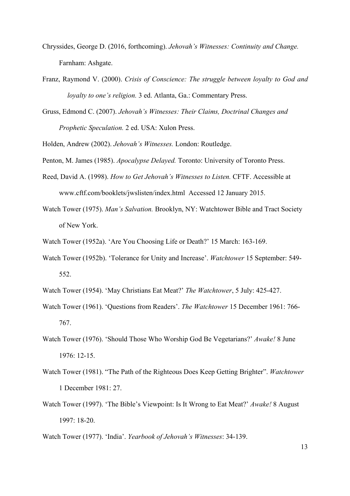- Chryssides, George D. (2016, forthcoming). *Jehovah's Witnesses: Continuity and Change.* Farnham: Ashgate.
- Franz, Raymond V. (2000). *Crisis of Conscience: The struggle between loyalty to God and loyalty to one's religion.* 3 ed. Atlanta, Ga.: Commentary Press.
- Gruss, Edmond C. (2007). *Jehovah's Witnesses: Their Claims, Doctrinal Changes and Prophetic Speculation.* 2 ed. USA: Xulon Press.

Holden, Andrew (2002). *Jehovah's Witnesses.* London: Routledge.

- Penton, M. James (1985). *Apocalypse Delayed.* Toronto: University of Toronto Press.
- Reed, David A. (1998). *How to Get Jehovah's Witnesses to Listen.* CFTF. Accessible at www.cftf.com/booklets/jwslisten/index.html Accessed 12 January 2015.
- Watch Tower (1975). *Man's Salvation.* Brooklyn, NY: Watchtower Bible and Tract Society of New York.
- Watch Tower (1952a). 'Are You Choosing Life or Death?' 15 March: 163-169.
- Watch Tower (1952b). 'Tolerance for Unity and Increase'. *Watchtower* 15 September: 549- 552.
- Watch Tower (1954). 'May Christians Eat Meat?' *The Watchtower*, 5 July: 425-427.
- Watch Tower (1961). 'Questions from Readers'. *The Watchtower* 15 December 1961: 766- 767.
- Watch Tower (1976). 'Should Those Who Worship God Be Vegetarians?' *Awake!* 8 June 1976: 12-15.
- Watch Tower (1981). "The Path of the Righteous Does Keep Getting Brighter". *Watchtower* 1 December 1981: 27.
- Watch Tower (1997). 'The Bible's Viewpoint: Is It Wrong to Eat Meat?' *Awake!* 8 August 1997: 18-20.
- Watch Tower (1977). 'India'. *Yearbook of Jehovah's Witnesses*: 34-139.